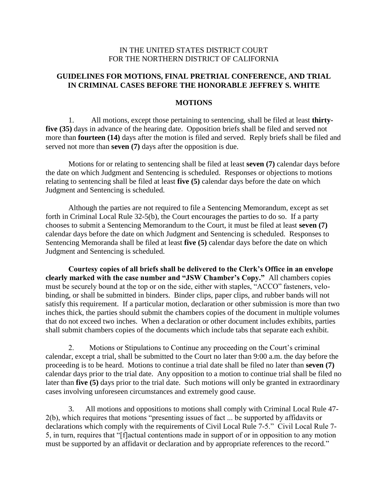# IN THE UNITED STATES DISTRICT COURT FOR THE NORTHERN DISTRICT OF CALIFORNIA

# **GUIDELINES FOR MOTIONS, FINAL PRETRIAL CONFERENCE, AND TRIAL IN CRIMINAL CASES BEFORE THE HONORABLE JEFFREY S. WHITE**

### **MOTIONS**

1. All motions, except those pertaining to sentencing, shall be filed at least **thirtyfive (35)** days in advance of the hearing date. Opposition briefs shall be filed and served not more than **fourteen (14)** days after the motion is filed and served. Reply briefs shall be filed and served not more than **seven (7)** days after the opposition is due.

Motions for or relating to sentencing shall be filed at least **seven (7)** calendar days before the date on which Judgment and Sentencing is scheduled. Responses or objections to motions relating to sentencing shall be filed at least **five (5)** calendar days before the date on which Judgment and Sentencing is scheduled.

Although the parties are not required to file a Sentencing Memorandum, except as set forth in Criminal Local Rule 32-5(b), the Court encourages the parties to do so. If a party chooses to submit a Sentencing Memorandum to the Court, it must be filed at least **seven (7)** calendar days before the date on which Judgment and Sentencing is scheduled. Responses to Sentencing Memoranda shall be filed at least **five (5)** calendar days before the date on which Judgment and Sentencing is scheduled.

**Courtesy copies of all briefs shall be delivered to the Clerk's Office in an envelope clearly marked with the case number and "JSW Chamber's Copy."** All chambers copies must be securely bound at the top or on the side, either with staples, "ACCO" fasteners, velobinding, or shall be submitted in binders. Binder clips, paper clips, and rubber bands will not satisfy this requirement. If a particular motion, declaration or other submission is more than two inches thick, the parties should submit the chambers copies of the document in multiple volumes that do not exceed two inches. When a declaration or other document includes exhibits, parties shall submit chambers copies of the documents which include tabs that separate each exhibit.

2. Motions or Stipulations to Continue any proceeding on the Court's criminal calendar, except a trial, shall be submitted to the Court no later than 9:00 a.m. the day before the proceeding is to be heard. Motions to continue a trial date shall be filed no later than **seven (7)** calendar days prior to the trial date. Any opposition to a motion to continue trial shall be filed no later than **five (5)** days prior to the trial date. Such motions will only be granted in extraordinary cases involving unforeseen circumstances and extremely good cause.

3. All motions and oppositions to motions shall comply with Criminal Local Rule 47- 2(b), which requires that motions "presenting issues of fact ... be supported by affidavits or declarations which comply with the requirements of Civil Local Rule 7-5." Civil Local Rule 7- 5, in turn, requires that "[f]actual contentions made in support of or in opposition to any motion must be supported by an affidavit or declaration and by appropriate references to the record."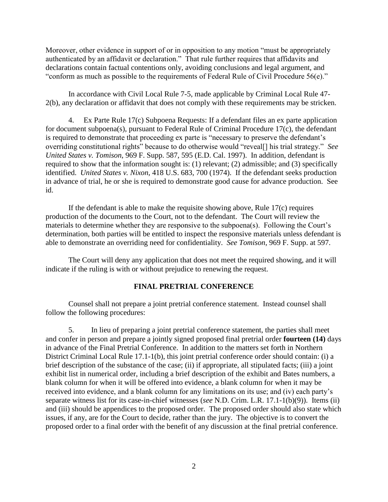Moreover, other evidence in support of or in opposition to any motion "must be appropriately authenticated by an affidavit or declaration." That rule further requires that affidavits and declarations contain factual contentions only, avoiding conclusions and legal argument, and "conform as much as possible to the requirements of Federal Rule of Civil Procedure 56(e)."

In accordance with Civil Local Rule 7-5, made applicable by Criminal Local Rule 47- 2(b), any declaration or affidavit that does not comply with these requirements may be stricken.

4. Ex Parte Rule 17(c) Subpoena Requests: If a defendant files an ex parte application for document subpoena(s), pursuant to Federal Rule of Criminal Procedure 17(c), the defendant is required to demonstrate that proceeding ex parte is "necessary to preserve the defendant's overriding constitutional rights" because to do otherwise would "reveal[] his trial strategy." *See United States v. Tomison*, 969 F. Supp. 587, 595 (E.D. Cal. 1997). In addition, defendant is required to show that the information sought is: (1) relevant; (2) admissible; and (3) specifically identified. *United States v. Nixon*, 418 U.S. 683, 700 (1974). If the defendant seeks production in advance of trial, he or she is required to demonstrate good cause for advance production. See id.

If the defendant is able to make the requisite showing above, Rule 17(c) requires production of the documents to the Court, not to the defendant. The Court will review the materials to determine whether they are responsive to the subpoena(s). Following the Court's determination, both parties will be entitled to inspect the responsive materials unless defendant is able to demonstrate an overriding need for confidentiality. *See Tomison*, 969 F. Supp. at 597.

The Court will deny any application that does not meet the required showing, and it will indicate if the ruling is with or without prejudice to renewing the request.

### **FINAL PRETRIAL CONFERENCE**

Counsel shall not prepare a joint pretrial conference statement. Instead counsel shall follow the following procedures:

5. In lieu of preparing a joint pretrial conference statement, the parties shall meet and confer in person and prepare a jointly signed proposed final pretrial order **fourteen (14)** days in advance of the Final Pretrial Conference. In addition to the matters set forth in Northern District Criminal Local Rule 17.1-1(b), this joint pretrial conference order should contain: (i) a brief description of the substance of the case; (ii) if appropriate, all stipulated facts; (iii) a joint exhibit list in numerical order, including a brief description of the exhibit and Bates numbers, a blank column for when it will be offered into evidence, a blank column for when it may be received into evidence, and a blank column for any limitations on its use; and (iv) each party's separate witness list for its case-in-chief witnesses (*see* N.D. Crim. L.R. 17.1-1(b)(9)). Items (ii) and (iii) should be appendices to the proposed order. The proposed order should also state which issues, if any, are for the Court to decide, rather than the jury. The objective is to convert the proposed order to a final order with the benefit of any discussion at the final pretrial conference.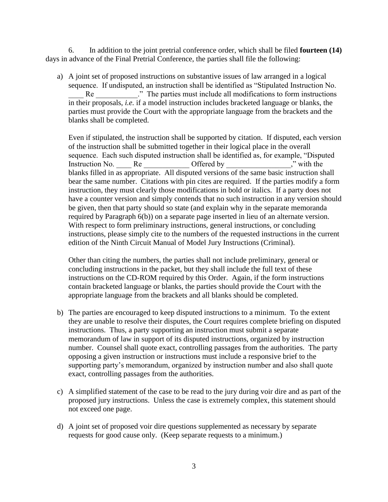6. In addition to the joint pretrial conference order, which shall be filed **fourteen (14)** days in advance of the Final Pretrial Conference, the parties shall file the following:

a) A joint set of proposed instructions on substantive issues of law arranged in a logical sequence. If undisputed, an instruction shall be identified as "Stipulated Instruction No. Re The parties must include all modifications to form instructions in their proposals, *i.e.* if a model instruction includes bracketed language or blanks, the parties must provide the Court with the appropriate language from the brackets and the blanks shall be completed.

Even if stipulated, the instruction shall be supported by citation. If disputed, each version of the instruction shall be submitted together in their logical place in the overall sequence. Each such disputed instruction shall be identified as, for example, "Disputed Instruction No. Are a Re Coffered by Twith the set of  $\Gamma$ blanks filled in as appropriate. All disputed versions of the same basic instruction shall bear the same number. Citations with pin cites are required. If the parties modify a form instruction, they must clearly those modifications in bold or italics. If a party does not have a counter version and simply contends that no such instruction in any version should be given, then that party should so state (and explain why in the separate memoranda required by Paragraph 6(b)) on a separate page inserted in lieu of an alternate version. With respect to form preliminary instructions, general instructions, or concluding instructions, please simply cite to the numbers of the requested instructions in the current edition of the Ninth Circuit Manual of Model Jury Instructions (Criminal).

Other than citing the numbers, the parties shall not include preliminary, general or concluding instructions in the packet, but they shall include the full text of these instructions on the CD-ROM required by this Order. Again, if the form instructions contain bracketed language or blanks, the parties should provide the Court with the appropriate language from the brackets and all blanks should be completed.

- b) The parties are encouraged to keep disputed instructions to a minimum. To the extent they are unable to resolve their disputes, the Court requires complete briefing on disputed instructions. Thus, a party supporting an instruction must submit a separate memorandum of law in support of its disputed instructions, organized by instruction number. Counsel shall quote exact, controlling passages from the authorities. The party opposing a given instruction or instructions must include a responsive brief to the supporting party's memorandum, organized by instruction number and also shall quote exact, controlling passages from the authorities.
- c) A simplified statement of the case to be read to the jury during voir dire and as part of the proposed jury instructions. Unless the case is extremely complex, this statement should not exceed one page.
- d) A joint set of proposed voir dire questions supplemented as necessary by separate requests for good cause only. (Keep separate requests to a minimum.)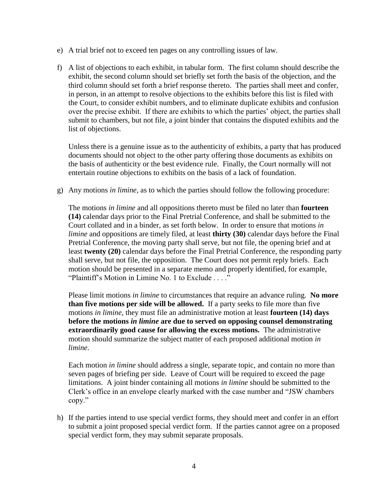- e) A trial brief not to exceed ten pages on any controlling issues of law.
- f) A list of objections to each exhibit, in tabular form. The first column should describe the exhibit, the second column should set briefly set forth the basis of the objection, and the third column should set forth a brief response thereto. The parties shall meet and confer, in person, in an attempt to resolve objections to the exhibits before this list is filed with the Court, to consider exhibit numbers, and to eliminate duplicate exhibits and confusion over the precise exhibit. If there are exhibits to which the parties' object, the parties shall submit to chambers, but not file, a joint binder that contains the disputed exhibits and the list of objections.

Unless there is a genuine issue as to the authenticity of exhibits, a party that has produced documents should not object to the other party offering those documents as exhibits on the basis of authenticity or the best evidence rule. Finally, the Court normally will not entertain routine objections to exhibits on the basis of a lack of foundation.

g) Any motions *in limine*, as to which the parties should follow the following procedure:

The motions *in limine* and all oppositions thereto must be filed no later than **fourteen (14)** calendar days prior to the Final Pretrial Conference, and shall be submitted to the Court collated and in a binder, as set forth below. In order to ensure that motions *in limine* and oppositions are timely filed, at least **thirty (30)** calendar days before the Final Pretrial Conference, the moving party shall serve, but not file, the opening brief and at least **twenty (20)** calendar days before the Final Pretrial Conference, the responding party shall serve, but not file, the opposition. The Court does not permit reply briefs. Each motion should be presented in a separate memo and properly identified, for example, "Plaintiff's Motion in Limine No. 1 to Exclude . . . ."

Please limit motions *in limine* to circumstances that require an advance ruling. **No more than five motions per side will be allowed.** If a party seeks to file more than five motions *in limine*, they must file an administrative motion at least **fourteen (14) days before the motions** *in limine* **are due to served on opposing counsel demonstrating extraordinarily good cause for allowing the excess motions.** The administrative motion should summarize the subject matter of each proposed additional motion *in limine*.

Each motion *in limine* should address a single, separate topic, and contain no more than seven pages of briefing per side. Leave of Court will be required to exceed the page limitations. A joint binder containing all motions *in limine* should be submitted to the Clerk's office in an envelope clearly marked with the case number and "JSW chambers copy."

h) If the parties intend to use special verdict forms, they should meet and confer in an effort to submit a joint proposed special verdict form. If the parties cannot agree on a proposed special verdict form, they may submit separate proposals.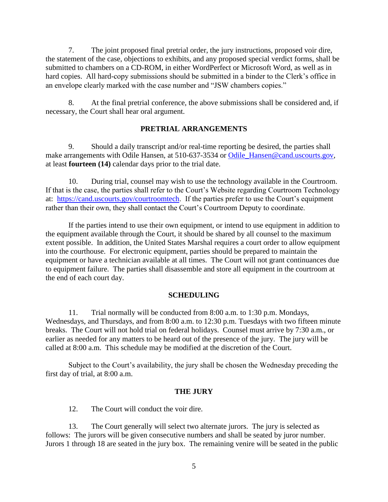7. The joint proposed final pretrial order, the jury instructions, proposed voir dire, the statement of the case, objections to exhibits, and any proposed special verdict forms, shall be submitted to chambers on a CD-ROM, in either WordPerfect or Microsoft Word, as well as in hard copies. All hard-copy submissions should be submitted in a binder to the Clerk's office in an envelope clearly marked with the case number and "JSW chambers copies."

8. At the final pretrial conference, the above submissions shall be considered and, if necessary, the Court shall hear oral argument.

## **PRETRIAL ARRANGEMENTS**

9. Should a daily transcript and/or real-time reporting be desired, the parties shall make arrangements with Odile Hansen, at 510-637-3534 or [Odile\\_Hansen@cand.uscourts.gov,](mailto:Odile_Hansen@cand.uscourts.gov) at least **fourteen (14)** calendar days prior to the trial date.

10. During trial, counsel may wish to use the technology available in the Courtroom. If that is the case, the parties shall refer to the Court's Website regarding Courtroom Technology at: [https://cand.uscourts.gov/courtroomtech.](https://cand.uscourts.gov/courtroomtech) If the parties prefer to use the Court's equipment rather than their own, they shall contact the Court's Courtroom Deputy to coordinate.

If the parties intend to use their own equipment, or intend to use equipment in addition to the equipment available through the Court, it should be shared by all counsel to the maximum extent possible. In addition, the United States Marshal requires a court order to allow equipment into the courthouse. For electronic equipment, parties should be prepared to maintain the equipment or have a technician available at all times. The Court will not grant continuances due to equipment failure. The parties shall disassemble and store all equipment in the courtroom at the end of each court day.

### **SCHEDULING**

11. Trial normally will be conducted from 8:00 a.m. to 1:30 p.m. Mondays, Wednesdays, and Thursdays, and from 8:00 a.m. to 12:30 p.m. Tuesdays with two fifteen minute breaks. The Court will not hold trial on federal holidays. Counsel must arrive by 7:30 a.m., or earlier as needed for any matters to be heard out of the presence of the jury. The jury will be called at 8:00 a.m. This schedule may be modified at the discretion of the Court.

Subject to the Court's availability, the jury shall be chosen the Wednesday preceding the first day of trial, at 8:00 a.m.

### **THE JURY**

12. The Court will conduct the voir dire.

13. The Court generally will select two alternate jurors. The jury is selected as follows: The jurors will be given consecutive numbers and shall be seated by juror number. Jurors 1 through 18 are seated in the jury box. The remaining venire will be seated in the public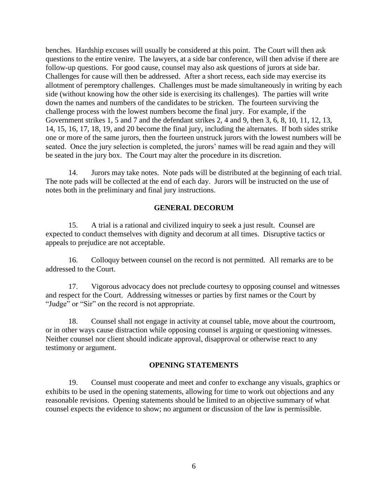benches. Hardship excuses will usually be considered at this point. The Court will then ask questions to the entire venire. The lawyers, at a side bar conference, will then advise if there are follow-up questions. For good cause, counsel may also ask questions of jurors at side bar. Challenges for cause will then be addressed. After a short recess, each side may exercise its allotment of peremptory challenges. Challenges must be made simultaneously in writing by each side (without knowing how the other side is exercising its challenges). The parties will write down the names and numbers of the candidates to be stricken. The fourteen surviving the challenge process with the lowest numbers become the final jury. For example, if the Government strikes 1, 5 and 7 and the defendant strikes 2, 4 and 9, then 3, 6, 8, 10, 11, 12, 13, 14, 15, 16, 17, 18, 19, and 20 become the final jury, including the alternates. If both sides strike one or more of the same jurors, then the fourteen unstruck jurors with the lowest numbers will be seated. Once the jury selection is completed, the jurors' names will be read again and they will be seated in the jury box. The Court may alter the procedure in its discretion.

14. Jurors may take notes. Note pads will be distributed at the beginning of each trial. The note pads will be collected at the end of each day. Jurors will be instructed on the use of notes both in the preliminary and final jury instructions.

# **GENERAL DECORUM**

15. A trial is a rational and civilized inquiry to seek a just result. Counsel are expected to conduct themselves with dignity and decorum at all times. Disruptive tactics or appeals to prejudice are not acceptable.

16. Colloquy between counsel on the record is not permitted. All remarks are to be addressed to the Court.

17. Vigorous advocacy does not preclude courtesy to opposing counsel and witnesses and respect for the Court. Addressing witnesses or parties by first names or the Court by "Judge" or "Sir" on the record is not appropriate.

18. Counsel shall not engage in activity at counsel table, move about the courtroom, or in other ways cause distraction while opposing counsel is arguing or questioning witnesses. Neither counsel nor client should indicate approval, disapproval or otherwise react to any testimony or argument.

## **OPENING STATEMENTS**

19. Counsel must cooperate and meet and confer to exchange any visuals, graphics or exhibits to be used in the opening statements, allowing for time to work out objections and any reasonable revisions. Opening statements should be limited to an objective summary of what counsel expects the evidence to show; no argument or discussion of the law is permissible.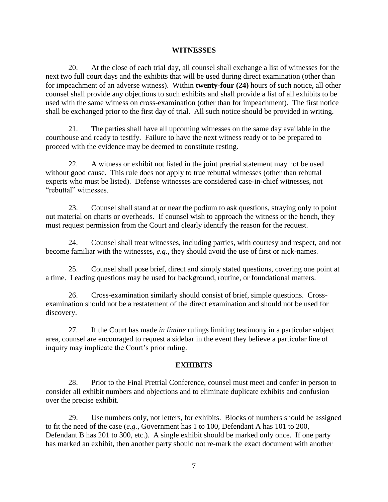### **WITNESSES**

20. At the close of each trial day, all counsel shall exchange a list of witnesses for the next two full court days and the exhibits that will be used during direct examination (other than for impeachment of an adverse witness). Within **twenty-four (24)** hours of such notice, all other counsel shall provide any objections to such exhibits and shall provide a list of all exhibits to be used with the same witness on cross-examination (other than for impeachment). The first notice shall be exchanged prior to the first day of trial. All such notice should be provided in writing.

21. The parties shall have all upcoming witnesses on the same day available in the courthouse and ready to testify. Failure to have the next witness ready or to be prepared to proceed with the evidence may be deemed to constitute resting.

22. A witness or exhibit not listed in the joint pretrial statement may not be used without good cause. This rule does not apply to true rebuttal witnesses (other than rebuttal experts who must be listed). Defense witnesses are considered case-in-chief witnesses, not "rebuttal" witnesses.

23. Counsel shall stand at or near the podium to ask questions, straying only to point out material on charts or overheads. If counsel wish to approach the witness or the bench, they must request permission from the Court and clearly identify the reason for the request.

24. Counsel shall treat witnesses, including parties, with courtesy and respect, and not become familiar with the witnesses, *e.g.*, they should avoid the use of first or nick-names.

25. Counsel shall pose brief, direct and simply stated questions, covering one point at a time. Leading questions may be used for background, routine, or foundational matters.

26. Cross-examination similarly should consist of brief, simple questions. Crossexamination should not be a restatement of the direct examination and should not be used for discovery.

27. If the Court has made *in limine* rulings limiting testimony in a particular subject area, counsel are encouraged to request a sidebar in the event they believe a particular line of inquiry may implicate the Court's prior ruling.

## **EXHIBITS**

28. Prior to the Final Pretrial Conference, counsel must meet and confer in person to consider all exhibit numbers and objections and to eliminate duplicate exhibits and confusion over the precise exhibit.

29. Use numbers only, not letters, for exhibits. Blocks of numbers should be assigned to fit the need of the case (*e.g.*, Government has 1 to 100, Defendant A has 101 to 200, Defendant B has 201 to 300, etc.). A single exhibit should be marked only once. If one party has marked an exhibit, then another party should not re-mark the exact document with another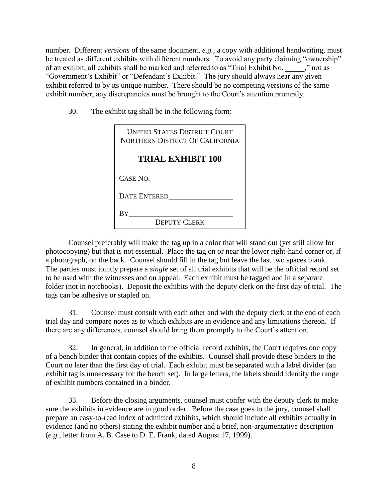number. Different *versions* of the same document, *e.g.*, a copy with additional handwriting, must be treated as different exhibits with different numbers. To avoid any party claiming "ownership" of an exhibit, all exhibits shall be marked and referred to as "Trial Exhibit No. \_\_\_\_\_," not as "Government's Exhibit" or "Defendant's Exhibit." The jury should always hear any given exhibit referred to by its unique number. There should be no competing versions of the same exhibit number; any discrepancies must be brought to the Court's attention promptly.

30. The exhibit tag shall be in the following form:

| <b>UNITED STATES DISTRICT COURT</b><br>NORTHERN DISTRICT OF CALIFORNIA |
|------------------------------------------------------------------------|
| <b>TRIAL EXHIBIT 100</b>                                               |
| CASE NO.                                                               |
| <b>DATE ENTERED</b>                                                    |
| By                                                                     |
| <b>DEPUTY CLERK</b>                                                    |

Counsel preferably will make the tag up in a color that will stand out (yet still allow for photocopying) but that is not essential. Place the tag on or near the lower right-hand corner or, if a photograph, on the back. Counsel should fill in the tag but leave the last two spaces blank. The parties must jointly prepare a *single* set of all trial exhibits that will be the official record set to be used with the witnesses and on appeal. Each exhibit must be tagged and in a separate folder (not in notebooks). Deposit the exhibits with the deputy clerk on the first day of trial. The tags can be adhesive or stapled on.

31. Counsel must consult with each other and with the deputy clerk at the end of each trial day and compare notes as to which exhibits are in evidence and any limitations thereon. If there are any differences, counsel should bring them promptly to the Court's attention.

32. In general, in addition to the official record exhibits, the Court requires one copy of a bench binder that contain copies of the exhibits. Counsel shall provide these binders to the Court no later than the first day of trial. Each exhibit must be separated with a label divider (an exhibit tag is unnecessary for the bench set). In large letters, the labels should identify the range of exhibit numbers contained in a binder.

33. Before the closing arguments, counsel must confer with the deputy clerk to make sure the exhibits in evidence are in good order. Before the case goes to the jury, counsel shall prepare an easy-to-read index of admitted exhibits, which should include all exhibits actually in evidence (and no others) stating the exhibit number and a brief, non-argumentative description (*e.g.*, letter from A. B. Case to D. E. Frank, dated August 17, 1999).